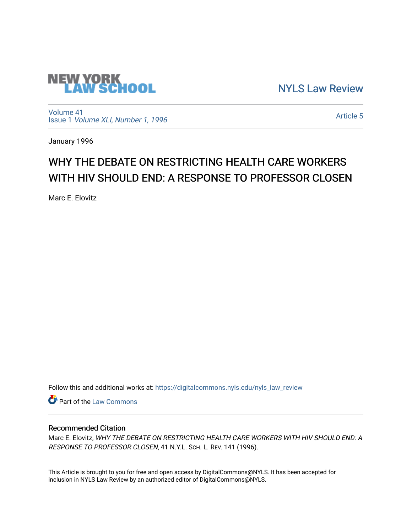

[NYLS Law Review](https://digitalcommons.nyls.edu/nyls_law_review) 

[Volume 41](https://digitalcommons.nyls.edu/nyls_law_review/vol41) Issue 1 [Volume XLI, Number 1, 1996](https://digitalcommons.nyls.edu/nyls_law_review/vol41/iss1)

[Article 5](https://digitalcommons.nyls.edu/nyls_law_review/vol41/iss1/5) 

January 1996

# WHY THE DEBATE ON RESTRICTING HEALTH CARE WORKERS WITH HIV SHOULD END: A RESPONSE TO PROFESSOR CLOSEN

Marc E. Elovitz

Follow this and additional works at: [https://digitalcommons.nyls.edu/nyls\\_law\\_review](https://digitalcommons.nyls.edu/nyls_law_review?utm_source=digitalcommons.nyls.edu%2Fnyls_law_review%2Fvol41%2Fiss1%2F5&utm_medium=PDF&utm_campaign=PDFCoverPages) 

**Part of the [Law Commons](https://network.bepress.com/hgg/discipline/578?utm_source=digitalcommons.nyls.edu%2Fnyls_law_review%2Fvol41%2Fiss1%2F5&utm_medium=PDF&utm_campaign=PDFCoverPages)** 

## Recommended Citation

Marc E. Elovitz, WHY THE DEBATE ON RESTRICTING HEALTH CARE WORKERS WITH HIV SHOULD END: A RESPONSE TO PROFESSOR CLOSEN, 41 N.Y.L. SCH. L. REV. 141 (1996).

This Article is brought to you for free and open access by DigitalCommons@NYLS. It has been accepted for inclusion in NYLS Law Review by an authorized editor of DigitalCommons@NYLS.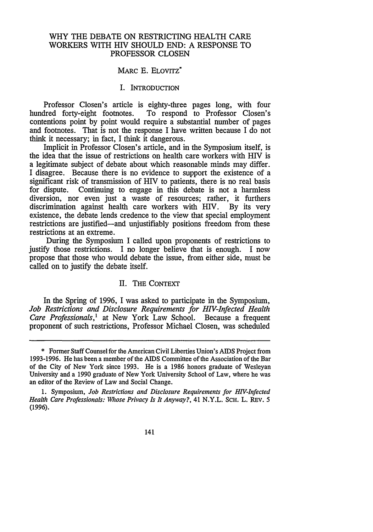## WHY THE DEBATE ON RESTRICTING HEALTH CARE WORKERS WITH HIV SHOULD END: A RESPONSE TO PROFESSOR CLOSEN

## MARC E. ELOVITZ<sup>\*</sup>

### I. INTRODUCTION

Professor Closen's article is eighty-three pages long, with four To respond to Professor Closen's contentions point **by** point would require a substantial number of pages and footnotes. That is not the response I have written because I do not think it necessary; in fact, I think it dangerous.

Implicit in Professor Closen's article, and in the Symposium itself, is the idea that the issue of restrictions on health care workers with HIV is a legitimate subject of debate about which reasonable minds may differ. I disagree. Because there is no evidence to support the existence of a significant risk of transmission of HIV to patients, there is no real basis for dispute. Continuing to engage in this debate is not a harmless diversion, nor even just a waste of resources; rather, it furthers discrimination against health care workers with HIV. **By** its very existence, the debate lends credence to the view that special employment restrictions are justified—and unjustifiably positions freedom from these restrictions at an extreme.

During the Symposium I called upon proponents of restrictions to justify those restrictions. I no longer believe that is enough. I now propose that those who would debate the issue, from either side, must be called on to justify the debate itself.

#### II. THE CONTEXT

In the Spring of 1996, I was asked to participate in the Symposium, *Job Restrictions and Disclosure Requirements for HIV-Infected Health Care Professionals,1* at New York Law School. Because a frequent proponent of such restrictions, Professor Michael Closen, was scheduled

<sup>\*</sup> Former Staff Counsel for the American Civil Liberties Union's AIDS Project from 1993-1996. He has been a member of the AIDS Committee of the Association of the Bar of the City of New York since 1993. He is a 1986 honors graduate of Wesleyan University and a 1990 graduate of New York University School of Law, where he was an editor of the Review of Law and Social Change.

**<sup>1.</sup>** Symposium, *Job Restrictions and Disclosure Requirements for HIV-Infected Health Care Professionals: Whose Privacy Is It Anyway?,* 41 N.Y.L. SCH. L. REv. 5 (1996).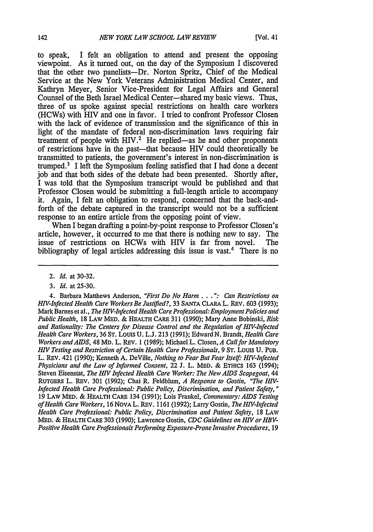to speak, I felt an obligation to attend and present the opposing viewpoint. As it turned out, on the day of the Symposium I discovered that the other two panelists-Dr. Norton Spritz, Chief of the Medical Service at the New York Veterans Administration Medical Center, and Kathryn Meyer, Senior Vice-President for Legal Affairs and General Counsel of the Beth Israel Medical Center-shared my basic views. Thus, three of us spoke against special restrictions on health care workers (HCWs) with HIV and one in favor. I tried to confront Professor Closen with the lack of evidence of transmission and the significance of this in light of the mandate of federal non-discrimination laws requiring fair treatment of people with HIV.<sup>2</sup> He replied-as he and other proponents of restrictions have in the past-that because HIV could theoretically be transmitted to patients, the government's interest in non-discrimination is trumped.' I left the Symposium feeling satisfied that I had done a decent job and that both sides of the debate had been presented. Shortly after, I was told that the Symposium transcript would be published and that Professor Closen would be submitting a full-length article to accompany it. Again, I felt an obligation to respond, concerned that the back-andforth of the debate captured in the transcript would not be a sufficient response to an entire article from the opposing point of view.

When I began drafting a point-by-point response to Professor Closen's article, however, it occurred to me that there is nothing new to say. The issue of restrictions on HCWs with HIV is far from novel. The bibliography of legal articles addressing this issue is vast.4 There is no

*3. Id.* at 25-30.

4. Barbara Matthews Anderson, *"First Do No Harm . ": Can Restrictions on HIV-Infected Health Care Workers Be Justified?,* 33 SANTA CLARA L. REv. **603** (1993); Mark Barnes et al., *The HIV-Infected Health Care Professional: Employment Policies and Public Health,* 18 LAw MED. & HEALTH CARE 311 (1990); Mary Anne Bobinski, *Risk and Rationality: The Centers for Disease Control and the Regulation of HIV-Infected Health Care Workers,* 36 ST. Louis U. L.J. 213 (1991); Edward N. *Brandt, Health Care Workers and AIDS,* 48 MD. L. REV. 1 (1989); Michael L. Closen, *A Call for Mandatory* HIV *Testing and Restriction of Certain Health Care Professionals,* 9 ST. Louis U. PUB. L. REv. 421 (1990); Kenneth A. DeVille, *Nothing to Fear But Fear Itself: HIV-Infected Physicians and the Law of Informed Consent,* 22 J. L. MED. & **ETHICS** 163 (1994); Steven Eisenstat, *The* HIV *Infected Health Care Worker: The New AIDS Scapegoat,* 44 RUTGERS L. REV. 301 (1992); Chai R. Feldblum, *A Response to Gostin, "The HIV-Infected Health Care Professional: Public Policy, Discrimination, and Patient Safety,"* 19 LAW MED. & HEALTH CARE 134 (1991); Lois Frankel, *Commentary: AIDS Testing of Health Care Workers,* 16 NoVA L. REv. 1161 (1992); Larry Gostin, *The HIV-Infected Health Care Professional: Public Policy, Discrimination and Patient Safety,* 18 LAW MED. & HEALTH CARE 303 (1990); Lawrence Gostin, *CDC Guidelines on* HIV *or HBV-Positive Health Care Professionals Performing Exposure-Prone Invasive Procedures,* 19

<sup>2.</sup> *Id.* at 30-32.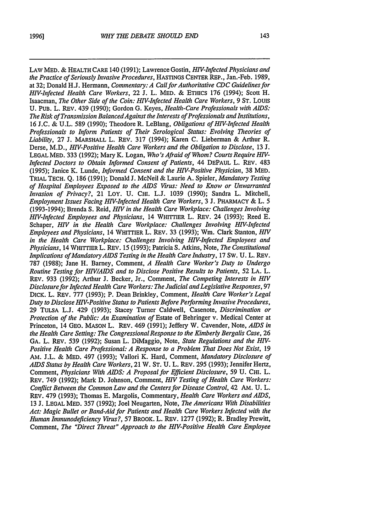LAW MED. & HEALTH CARE 140 (1991); Lawrence Gostin, *HIV-Infected Physicians and the Practice of Seriously Invasive Procedures,* HASTINGS **CENTER** REP., Jan.-Feb. 1989, at 32; Donald H.J. Hermann, *Commentary: A Call for Authoritative CDC Guidelines for HIV-Infected Health Care Workers,* 22 **J.** L. MED. & ETHICS 176 (1994); Scott H. Isaacman, *The Other Side of the Coin: HI V-Infected Health Care Workers, 9* **ST.** Louis **U. PUB.** L. REv. 439 (1990); Gordon G. Keyes, *Health-Care Professionals with AIDS: The Risk of Transmission BalancedAgainst the Interests of Professionals and Institutions,* **16** J.C. & U.L. 589 (1990); Theodore R. LeBlang, *Obligations of HIV-Infected Health Professionals to Inform Patients of Their Serological Status: Evolving Theories of Liability,* 27 J. MARSHALL L. REV. 317 (1994); Karen **C.** Lieberman & Arthur R. Derse, M.D., *HIV-Positive Health Care Workers and the Obligation to Disclose,* 13 J. LEGAL MED. 333 (1992); Mary K. Logan, *Who's Afraid of Whom? Courts Require HIV-Infected Doctors to Obtain Informed Consent of Patients,* 44 DEPAUL L. REv. 483 (1995); Janice K. Lunde, *Informed Consent and the HIV-Positive Physician,* 38 MED. TRIAL **TECH. Q. 186** (1991); Donald J. McNeil & Laurie A. Spieler, *Mandatory Testing of Hospital Employees Exposed to the AIDS Virus: Need to Know or Unwarranted Invasion of Privacy?,* 21 LoY. **U.** CHI. L.J. 1039 (1990); Sandra L. Mitchell, *Employment Issues Facing H1-Infected Health Care Workers,* 3 J. PHARMACY & L. 5 (1993-1994); Brenda S. Reid, *HIV in the Health Care Workplace: Challenges Involving HPV-Infected Employees and Physicians,* 14 WHITTIER L. REv. 24 (1993); Reed E. Schaper, *HIV* in the Health Care Workplace: Challenges Involving HIV-Infected *Employees and Physicians,* 14 WHITTIER L. REv. 33 (1993); Wm. Clark Stanton, *H/V in the Health Care Workplace: Challenges Involving HP/-Infected Employees and Physicians,* 14 WHITTIER L. REV. 15 (1993); Patricia **S.** Atkins, Note, *The Constitutional Implications of Mandatory AIDS Testing in the Health Care Industry,* 17 Sw. U. L. REv. 787 (1988); Jane H. Barney, Comment, *A Health Care Worker's Duty to Undergo Routine Testing for HIV/AIDS and to Disclose Positive Results to Patients,* 52 **LA.** L. REv. 933 (1992); Arthur J. Becker, Jr., Comment, *The Competing Interests in HIV Disclosure for Infected Health Care Workers: The Judicial and Legislative Responses,* 97 DICK. L. REv. 777 (1993); P. Dean Brinkley, Comment, *Health Care Worker's Legal Duty to Disclose HIV-Positive Status to Patients Before Performing Invasive Procedures,* 29 TULSA L.J. 429 (1993); Stacey Turner Caldwell, Casenote, *Discrimination or Protection of the Public: An Examination of* Estate of Behringer v. Medical Center at Princeton, 14 **GEO.** MASON L. REv. 469 (1991); Jeffery W. Cavender, Note, *AIDS in the Health Care Setting: The CongressionalResponse to the Kimberly Bergalis Case, 26* GA. L. REv. 539 (1992); Susan L. DiMaggio, Note, *State Regulations and the HIV-Positive Health Care Professional: A Response to a Problem That Does Not Exist,* 19 AM. J.L. & MED. 497 (1993); Vallori K. Hard, Comment, *Mandatory Disclosure of AIDS Status by Health Care Workers,* 21 W. ST. U. L. REv. 295 (1993); Jennifer Hertz, Comment, *Physicians With AIDS: A Proposal for Efficient Disclosure,* 59 U. **CHI.** L. REv. 749 (1992); Mark D. Johnson, Comment, *HV Testing of Health Care Workers: Conflict Between the Common Law and the Centers for Disease Control,* 42 AM. U. L. REV. 479 (1993); Thomas E. Margolis, Commentary, *Health Care Workers and AIDS,* 13 J. LEGAL MED. 357 (1992); Joel Neugarten, Note, *The Americans With Disabilities Act: Magic Bullet or Band-Aid for Patients and Health Care Workers Infected with the Human Immunodeficiency Virus?,* 57 BROOK. L. REv. 1277 (1992); R. Bradley Prewitt,

Comment, *The "Direct Threat" Approach to the HIV-Positive Health Care Employee*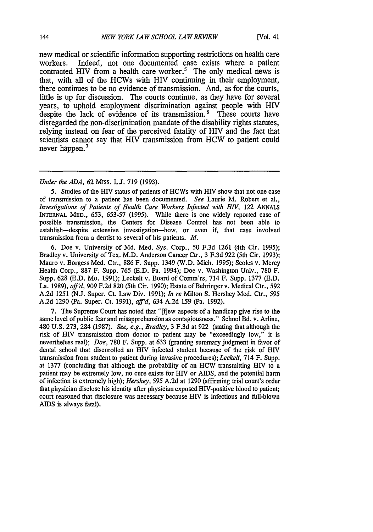new medical or scientific information supporting restrictions on health care workers. Indeed, not one documented case exists where a patient contracted HIV from a health care worker.<sup>5</sup> The only medical news is that, with all of the HCWs with HIV continuing in their employment, there continues to be no evidence of transmission. And, as for the courts, little is up for discussion. The courts continue, as they have for several years, to uphold employment discrimination against people with HIV despite the lack of evidence of its transmission.<sup>6</sup> These courts have disregarded the non-discrimination mandate of the disability rights statutes, relying instead on fear of the perceived fatality of HIV and the fact that scientists cannot say that HIV transmission from HCW to patient could never happen.<sup>7</sup>

#### *Under the ADA,* 62 MIss. L.J. 719 (1993).

5. Studies of the HIV status of patients of HCWs with HIV show that not one case of transmission to a patient has been documented. *See* Laurie M. Robert et al., *Investigations of Patients of Health Care Workers Infected with HIV, 122 ANNALS* INTERNAL MED., 653, 653-57 (1995). While there is one widely reported case of possible transmission, the Centers for Disease Control has not been able to establish-despite extensive investigation-how, or even if, that case involved transmission from a dentist to several of his patients. *Id.*

6. Doe v. University of Md. Med. Sys. Corp., 50 F.3d 1261 (4th Cir. 1995); Bradley v. University of Tex. M.D. Anderson Cancer Ctr., 3 F.3d 922 (5th Cir. 1993); Mauro v. Borgess Med. Ctr., 886 F. Supp. 1349 (W.D. Mich. 1995); Scoles v. Mercy Health Corp., 887 F. Supp. 765 (E.D. Pa. 1994); Doe v. Washington Univ., 780 F. Supp. 628 (E.D. Mo. 1991); Leckelt v. Board of Comm'rs, 714 F. Supp. 1377 (E.D. La. 1989), *aff'd*, 909 F.2d 820 (5th Cir. 1990); Estate of Behringer v. Medical Ctr., 592 A.2d 1251 (N.J. Super. Ct. Law Div. 1991); *In re* Milton S. Hershey Med. Ctr., 595 A.2d 1290 (Pa. Super. Ct. 1991), *aff'd,* 634 A.2d 159 (Pa. 1992).

7. The Supreme Court has noted that "[flew aspects of a handicap give rise to the same level of public fear and misapprehension as contagiousness." School Bd. v. Arline, 480 U.S. 273, 284 (1987). See, e.g., Bradley, 3 F.3d at 922 (stating that although the risk of HIV transmission from doctor to patient may be "exceedingly low," it is nevertheless real); *Doe,* 780 F. Supp. at 633 (granting summary judgment in favor of dental school that disenrolled an HIV infected student because of the risk of HIV transmission from student to patient during invasive procedures); *Leckelt,* 714 F. Supp. at 1377 (concluding that although the probability of an HCW transmitting HIV to a patient may be extremely low, no cure exists for HIV or AIDS, and the potential harm of infection is extremely high); *Hershey, 595* A.2d at 1290 (affirming trial court's order that physician disclose his identity after physician exposed HIV-positive blood to patient; court reasoned that disclosure was necessary because HIV is infectious and full-blown AIDS is always fatal).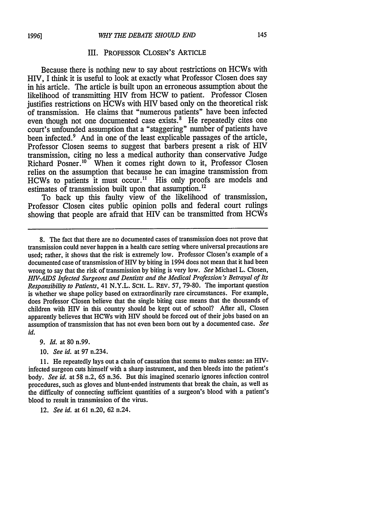#### III. PROFESSOR CLOSEN'S ARTICLE

Because there is nothing new to say about restrictions on HCWs with HIV, I think it is useful to look at exactly what Professor Closen does say in his article. The article is built upon an erroneous assumption about the likelihood of transmitting HIV from HCW to patient. Professor Closen justifies restrictions on HCWs with HIV based only on the theoretical risk of transmission. He claims that "numerous patients" have been infected even though not one documented case exists.<sup>8</sup> He repeatedly cites one court's unfounded assumption that a "staggering" number of patients have been infected.<sup>9</sup> And in one of the least explicable passages of the article, Professor Closen seems to suggest that barbers present a risk of HIV transmission, citing no less a medical authority than conservative Judge Richard Posner.<sup>10</sup> When it comes right down to it, Professor Closen relies on the assumption that because he can imagine transmission from HCWs to patients it must occur.<sup>11</sup> His only proofs are models and estimates of transmission built upon that assumption.<sup>12</sup>

To back up this faulty view of the likelihood of transmission, Professor Closen cites public opinion polls and federal court rulings showing that people are afraid that HIV can be transmitted from HCWs

*9. Id.* at 80 n.99.

10. *See id.* at 97 n.234.

**11.** He repeatedly lays out a chain of causation that seems to makes sense: an HIVinfected surgeon cuts himself with a sharp instrument, and then bleeds into the patient's body. *See id.* at 58 n.2, 65 n.36. But this imagined scenario ignores infection control procedures, such as gloves and blunt-ended instruments that break the chain, as well as the difficulty of connecting sufficient quantities of a surgeon's blood with a patient's blood to result in transmission of the virus.

12. *See id.* at 61 n.20, 62 n.24.

<sup>8.</sup> The fact that there are no documented cases of transmission does not prove that transmission could never happen in a health care setting where universal precautions are used; rather, it shows that the risk is extremely low. Professor Closen's example of a documented case of transmission of HIV by biting in 1994 does not mean that it had been wrong to say that the risk of transmission by biting is very low. *See* Michael L. Closen, *HIV-AIDS Infected Surgeons and Dentists and the Medical Profession's Betrayal of Its Responsibility to Patients,* 41 N.Y.L. SCH. L. REv. 57, 79-80. The important question is whether we shape policy based on extraordinarily rare circumstances. For example, does Professor Closen believe that the single biting case means that the thousands of children with HIV in this country should be kept out of school? After all, Closen apparently believes that HCWs with HIV should be forced out of their jobs based on an assumption of transmission that has not even been born out by a documented case. *See id.*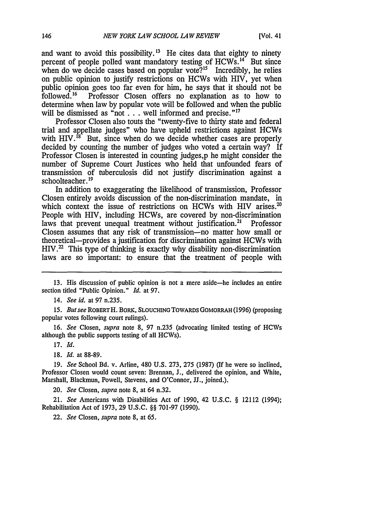and want to avoid this possibility.<sup>13</sup> He cites data that eighty to ninety percent of people polled want mandatory testing of HCWs.<sup>14</sup> But since when do we decide cases based on popular vote?<sup>15</sup> Incredibly, he relies on public opinion to justify restrictions on HCWs with HIV, yet when public opinion goes too far even for him, he says that it should not be followed.<sup>16</sup> Professor Closen offers no explanation as to how to Professor Closen offers no explanation as to how to determine when law by popular vote will be followed and when the public will be dismissed as "not . . . well informed and precise."<sup>17</sup>

Professor Closen also touts the "twenty-five to thirty state and federal trial and appellate judges" who have upheld restrictions against HCWs with  $HIV.<sup>18</sup>$  But, since when do we decide whether cases are properly decided by counting the number of judges who voted a certain way? If Professor Closen is interested in counting judges,p he might consider the number of Supreme Court Justices who held that unfounded fears of transmission of tuberculosis did not justify discrimination against a schoolteacher. **19**

In addition to exaggerating the likelihood of transmission, Professor Closen entirely avoids discussion of the non-discrimination mandate, in which context the issue of restrictions on HCWs with HIV arises.<sup>20</sup> People with HIV, including HCWs, are covered by non-discrimination laws that prevent unequal treatment without justification.<sup>21</sup> Professor laws that prevent unequal treatment without justification.<sup>21</sup> Closen assumes that any risk of transmission-no matter how small or theoretical-provides a justification for discrimination against HCWs with  $HIV.<sup>22</sup>$  This type of thinking is exactly why disability non-discrimination laws are so important: to ensure that the treatment of people with

*15. But see* ROBERTH. **BORK, SLOUCHING** TOWARDS GOMORRAH (1996) (proposing popular votes following court rulings).

*16. See* Closen, *supra* note 8, 97 n.235 (advocating limited testing of HCWs although the public supports testing of all HCWs).

17. *Id.*

**18.** *Id.* at **88-89.**

19. *See* School Bd. v. Arline, 480 U.S. 273, 275 (1987) (If he were so inclined, Professor Closen would count seven: Brennan, **J.,** delivered the opinion, and White, Marshall, Blackmun, Powell, Stevens, and O'Connor, JJ., joined.).

20. *See* Closen, *supra* note 8, at 64 n.32.

21. *See* Americans with Disabilities Act of 1990, 42 U.S.C. § 12112 (1994); Rehabilitation Act of 1973, 29 U.S.C. §§ 701-97 (1990).

22. *See* Closen, *supra* note 8, at 65.

<sup>13.</sup> His discussion of public opinion is not a mere aside-he includes an entire section titled "Public Opinion." *Id.* at 97.

<sup>14.</sup> *See id.* at 97 n.235.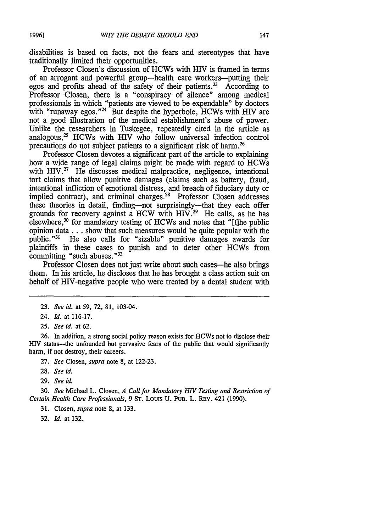disabilities is based on facts, not the fears and stereotypes that have traditionally limited their opportunities.

Professor Closen's discussion of HCWs with HIV is framed in terms of an arrogant and powerful group-health care workers-putting their egos and profits ahead of the safety of their patients.<sup>23</sup> According to Professor Closen, there is a "conspiracy of silence" among medical professionals in which "patients are viewed to be expendable" by doctors with "runaway egos."<sup>24</sup> But despite the hyperbole, HCWs with HIV are not a good illustration of the medical establishment's abuse of power. Unlike the researchers in Tuskegee, repeatedly cited in the article as analogous, $^{25}$  HCWs with HIV who follow universal infection control precautions do not subject patients to a significant risk of harm. <sup>26</sup>

Professor Closen devotes a significant part of the article to explaining how a wide range of legal claims might be made with regard to HCWs with HIV.<sup>27</sup> He discusses medical malpractice, negligence, intentional tort claims that allow punitive damages (claims such as battery, fraud, intentional infliction of emotional distress, and breach of fiduciary duty or implied contract), and criminal charges.<sup>28</sup> Professor Closen addresses these theories in detail, finding-not surprisingly-that they each offer grounds for recovery against a HCW with  $H_1V^{29}$  He calls, as he has elsewhere,<sup>30</sup> for mandatory testing of HCWs and notes that "[t]he public opinion data... show that such measures would be quite popular with the public."<sup>31</sup> He also calls for "sizable" punitive damages awards for plaintiffs in these cases to punish and to deter other HCWs from committing "such abuses."<sup>32</sup>

Professor Closen does not just write about such cases-he also brings them. In his article, he discloses that he has brought a class action suit on behalf of HIV-negative people who were treated by a dental student with

**26.** In addition, a strong social policy reason exists for HCWs not to disclose their HIV status-the unfounded but pervasive fears of the public that would significantly harm, if not destroy, their careers.

27. *See* Closen, *supra* note 8, at 122-23.

29. *See id.*

30. *See* Michael L. Closen, *A Call for Mandatory HIV Testing and Restriction of Certain Health Care Professionals,* 9 ST. Louis U. PUB. L. REv. 421 (1990).

31. Closen, *supra* note 8, at 133.

32. *Id.* at 132.

<sup>23.</sup> *See id.* at 59, 72, 81, 103-04.

<sup>24.</sup> *Id.* at 116-17.

<sup>25.</sup> *See id.* at 62.

<sup>28.</sup> *See id.*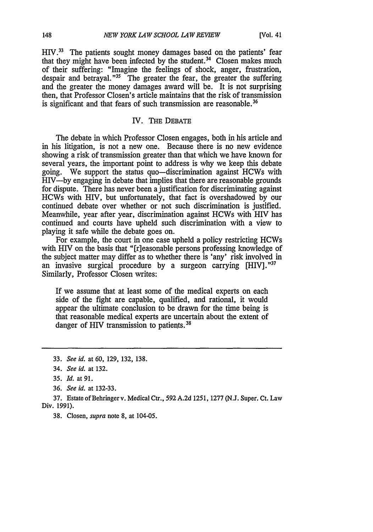$HIV.<sup>33</sup>$  The patients sought money damages based on the patients' fear that they might have been infected by the student.<sup>34</sup> Closen makes much of their suffering: "Imagine the feelings of shock, anger, frustration, despair and betrayal."<sup>35</sup> The greater the fear, the greater the suffering and the greater the money damages award will be. It is not surprising then, that Professor Closen's article maintains that the risk of transmission is significant and that fears of such transmission are reasonable.<sup>36</sup>

## IV. THE **DEBATE**

The debate in which Professor Closen engages, both in his article and in his litigation, is not a new one. Because there is no new evidence showing a risk of transmission greater than that which we have known for several years, the important point to address is why we keep this debate going. We support the status quo-discrimination against HCWs with HIV—by engaging in debate that implies that there are reasonable grounds for dispute. There has never been a justification for discriminating against HCWs with HIV, but unfortunately, that fact is overshadowed by our continued debate over whether or not such discrimination is justified. Meanwhile, year after year, discrimination against HCWs with HIV has continued and courts have upheld such discrimination with a view to playing it safe while the debate goes on.

For example, the court in one case upheld a policy restricting HCWs with HIV on the basis that "[r]easonable persons professing knowledge of the subject matter may differ as to whether there is 'any' risk involved in an invasive surgical procedure by a surgeon carrying [HIV]."37 Similarly, Professor Closen writes:

If we assume that at least some of the medical experts on each side of the fight are capable, qualified, and rational, it would appear the ultimate conclusion to be drawn for the time being is that reasonable medical experts are uncertain about the extent of danger of HIV transmission to patients.<sup>38</sup>

38. Closen, *supra* note 8, at 104-05.

<sup>33.</sup> *See id. at* 60, 129, 132, 138.

<sup>34.</sup> *See id.* at 132.

*<sup>35.</sup> Id.* at 91.

<sup>36.</sup> *See id.* at 132-33.

**<sup>37.</sup>** Estate of Behringer v. Medical Ctr., 592 A.2d 1251, 1277 (N.J. Super. Ct. Law Div. 1991).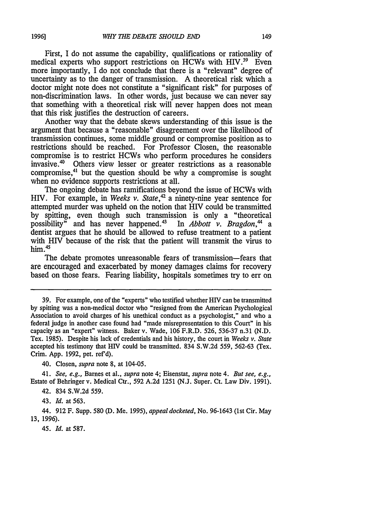First, I do not assume the capability, qualifications or rationality of medical experts who support restrictions on HCWs with  $HIV.^{39}$  Even more importantly, I do not conclude that there is a "relevant" degree of uncertainty as to the danger of transmission. A theoretical risk which a doctor might note does not constitute a "significant risk" for purposes of non-discrimination laws. In other words, just because we can never say that something with a theoretical risk will never happen does not mean that this risk justifies the destruction of careers.

Another way that the debate skews understanding of this issue is the argument that because a "reasonable" disagreement over the likelihood of transmission continues, some middle ground or compromise position as to restrictions should be reached. For Professor Closen, the reasonable compromise is to restrict HCWs who perform procedures he considers invasive.<sup>40</sup> Others view lesser or greater restrictions as a reasonable compromise, 41 but the question should be why a compromise is sought when no evidence supports restrictions at all.

The ongoing debate has ramifications beyond the issue of HCWs with HIV. For example, in *Weeks v. State*,<sup>42</sup> a ninety-nine year sentence for attempted murder was upheld on the notion that HIV could be transmitted by spitting, even though such transmission is only a "theoretical possibility" and has never happened.<sup>43</sup> In *Abbott v. Bragdon*,<sup>44</sup> a possibility" and has never happened.<sup>43</sup> dentist argues that he should be allowed to refuse treatment to a patient with HIV because of the risk that the patient will transmit the virus to him.<sup>45</sup>

The debate promotes unreasonable fears of transmission-fears that are encouraged and exacerbated by money damages claims for recovery based on those fears. Fearing liability, hospitals sometimes try to err on

40. Closen, *supra* note 8, at 104-05.

41. *See, e.g.,* Barnes et al., *supra* note 4; Eisenstat, *supra* note 4. *But see, e.g.,* Estate of Behringer v. Medical Ctr., 592 A.2d 1251 (N.J. Super. Ct. Law Div. 1991).

42. 834 S.W.2d 559.

43. *Id.* at 563.

44. 912 F. Supp. 580 (D. Me. 1995), *appeal docketed,* No. 96-1643 (1st Cir. May 13, 1996).

45. *Id.* at 587.

<sup>39.</sup> For example, one of the "experts" who testified whether HIV can be transmitted by spitting was a non-medical doctor who "resigned from the American Psychological Association to avoid charges of his unethical conduct as a psychologist," and who a federal judge in another case found had "made misrepresentation to this Court" in his capacity as an "expert" witness. Baker v. Wade, 106 F.R.D. 526, 536-37 n.31 (N.D. Tex. 1985). Despite his lack of credentials and his history, the court in *Weeks v. State* accepted his testimony that HIV could be transmitted. 834 S.W.2d 559, 562-63 (Tex. Crim. App. 1992, pet. ref'd).